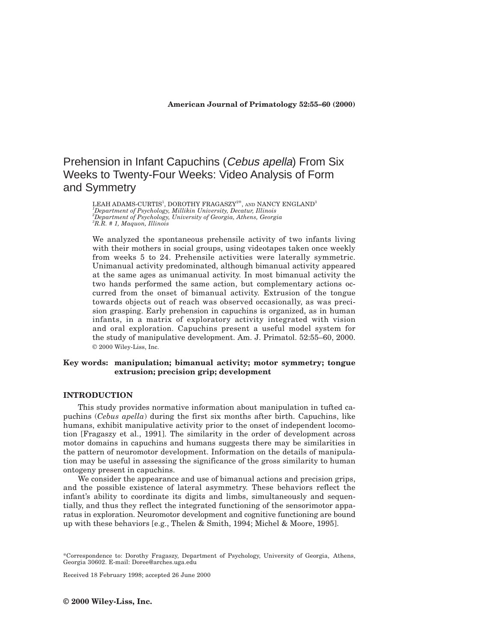# Prehension in Infant Capuchins (Cebus apella) From Six Weeks to Twenty-Four Weeks: Video Analysis of Form and Symmetry

LEAH ADAMS-CURTIS<sup>1</sup>, DOROTHY FRAGASZY $^{2\text{*}},$  and NANCY ENGLAND $^3$  *Department of Psychology, Millikin University, Decatur, Illinois Department of Psychology, University of Georgia, Athens, Georgia R.R. # 1, Maquon, Illinois*

We analyzed the spontaneous prehensile activity of two infants living with their mothers in social groups, using videotapes taken once weekly from weeks 5 to 24. Prehensile activities were laterally symmetric. Unimanual activity predominated, although bimanual activity appeared at the same ages as unimanual activity. In most bimanual activity the two hands performed the same action, but complementary actions occurred from the onset of bimanual activity. Extrusion of the tongue towards objects out of reach was observed occasionally, as was precision grasping. Early prehension in capuchins is organized, as in human infants, in a matrix of exploratory activity integrated with vision and oral exploration. Capuchins present a useful model system for the study of manipulative development. Am. J. Primatol. 52:55–60, 2000. © 2000 Wiley-Liss, Inc.

## **Key words: manipulation; bimanual activity; motor symmetry; tongue extrusion; precision grip; development**

# **INTRODUCTION**

This study provides normative information about manipulation in tufted capuchins (*Cebus apella*) during the first six months after birth. Capuchins, like humans, exhibit manipulative activity prior to the onset of independent locomotion [Fragaszy et al., 1991]. The similarity in the order of development across motor domains in capuchins and humans suggests there may be similarities in the pattern of neuromotor development. Information on the details of manipulation may be useful in assessing the significance of the gross similarity to human ontogeny present in capuchins.

We consider the appearance and use of bimanual actions and precision grips, and the possible existence of lateral asymmetry. These behaviors reflect the infant's ability to coordinate its digits and limbs, simultaneously and sequentially, and thus they reflect the integrated functioning of the sensorimotor apparatus in exploration. Neuromotor development and cognitive functioning are bound up with these behaviors [e.g., Thelen & Smith, 1994; Michel & Moore, 1995].

Received 18 February 1998; accepted 26 June 2000

<sup>\*</sup>Correspondence to: Dorothy Fragaszy, Department of Psychology, University of Georgia, Athens, Georgia 30602. E-mail: Doree@arches.uga.edu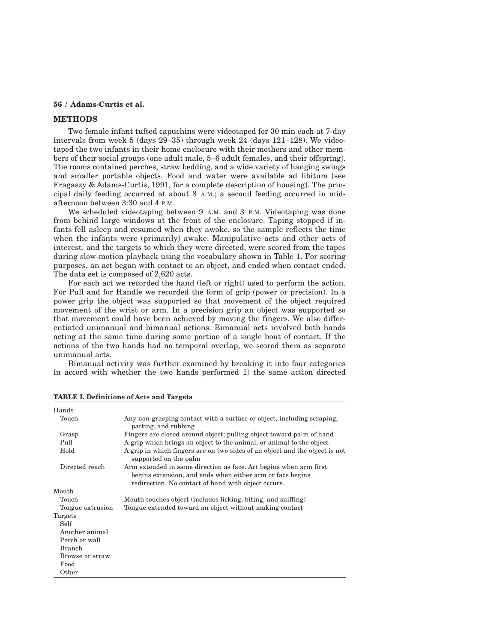## **56 / Adams-Curtis et al.**

## **METHODS**

Two female infant tufted capuchins were videotaped for 30 min each at 7-day intervals from week 5 (days 29–35) through week 24 (days 121–128). We videotaped the two infants in their home enclosure with their mothers and other members of their social groups (one adult male, 5–6 adult females, and their offspring). The rooms contained perches, straw bedding, and a wide variety of hanging swings and smaller portable objects. Food and water were available ad libitum [see Fragaszy & Adams-Curtis, 1991, for a complete description of housing]. The principal daily feeding occurred at about 8 A.M.; a second feeding occurred in midafternoon between 3:30 and 4 P.M.

We scheduled videotaping between 9 A.M. and 3 P.M. Videotaping was done from behind large windows at the front of the enclosure. Taping stopped if infants fell asleep and resumed when they awoke, so the sample reflects the time when the infants were (primarily) awake. Manipulative acts and other acts of interest, and the targets to which they were directed, were scored from the tapes during slow-motion playback using the vocabulary shown in Table 1. For scoring purposes, an act began with contact to an object, and ended when contact ended. The data set is composed of 2,620 acts.

For each act we recorded the hand (left or right) used to perform the action. For Pull and for Handle we recorded the form of grip (power or precision). In a power grip the object was supported so that movement of the object required movement of the wrist or arm. In a precision grip an object was supported so that movement could have been achieved by moving the fingers. We also differentiated unimanual and bimanual actions. Bimanual acts involved both hands acting at the same time during some portion of a single bout of contact. If the actions of the two hands had no temporal overlap, we scored them as separate unimanual acts.

Bimanual activity was further examined by breaking it into four categories in accord with whether the two hands performed 1) the same action directed

| Hands            |                                                                                                                                                                                       |
|------------------|---------------------------------------------------------------------------------------------------------------------------------------------------------------------------------------|
| Touch            | Any non-grasping contact with a surface or object, including scraping,<br>patting, and rubbing                                                                                        |
| Grasp            | Fingers are closed around object; pulling object toward palm of hand                                                                                                                  |
| Pull             | A grip which brings an object to the animal, or animal to the object                                                                                                                  |
| Hold             | A grip in which fingers are on two sides of an object and the object is not<br>supported on the palm                                                                                  |
| Directed reach   | Arm extended in same direction as face. Act begins when arm first<br>begins extension, and ends when either arm or face begins<br>redirection. No contact of hand with object occurs. |
| Mouth            |                                                                                                                                                                                       |
| Touch            | Mouth touches object (includes licking, biting, and sniffing)                                                                                                                         |
| Tongue extrusion | Tongue extended toward an object without making contact                                                                                                                               |
| Targets          |                                                                                                                                                                                       |
| Self             |                                                                                                                                                                                       |
| Another animal   |                                                                                                                                                                                       |
| Perch or wall    |                                                                                                                                                                                       |
| <b>Branch</b>    |                                                                                                                                                                                       |
| Browse or straw  |                                                                                                                                                                                       |
| Food             |                                                                                                                                                                                       |
| Other            |                                                                                                                                                                                       |
|                  |                                                                                                                                                                                       |

**TABLE I. Definitions of Acts and Targets**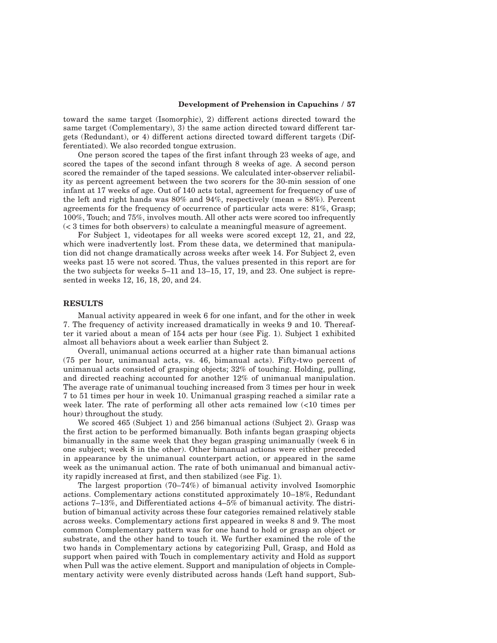## **Development of Prehension in Capuchins / 57**

toward the same target (Isomorphic), 2) different actions directed toward the same target (Complementary), 3) the same action directed toward different targets (Redundant), or 4) different actions directed toward different targets (Differentiated). We also recorded tongue extrusion.

One person scored the tapes of the first infant through 23 weeks of age, and scored the tapes of the second infant through 8 weeks of age. A second person scored the remainder of the taped sessions. We calculated inter-observer reliability as percent agreement between the two scorers for the 30-min session of one infant at 17 weeks of age. Out of 140 acts total, agreement for frequency of use of the left and right hands was  $80\%$  and  $94\%$ , respectively (mean =  $88\%$ ). Percent agreements for the frequency of occurrence of particular acts were: 81%, Grasp; 100%, Touch; and 75%, involves mouth. All other acts were scored too infrequently (< 3 times for both observers) to calculate a meaningful measure of agreement.

For Subject 1, videotapes for all weeks were scored except 12, 21, and 22, which were inadvertently lost. From these data, we determined that manipulation did not change dramatically across weeks after week 14. For Subject 2, even weeks past 15 were not scored. Thus, the values presented in this report are for the two subjects for weeks 5–11 and 13–15, 17, 19, and 23. One subject is represented in weeks 12, 16, 18, 20, and 24.

## **RESULTS**

Manual activity appeared in week 6 for one infant, and for the other in week 7. The frequency of activity increased dramatically in weeks 9 and 10. Thereafter it varied about a mean of 154 acts per hour (see Fig. 1). Subject 1 exhibited almost all behaviors about a week earlier than Subject 2.

Overall, unimanual actions occurred at a higher rate than bimanual actions (75 per hour, unimanual acts, vs. 46, bimanual acts). Fifty-two percent of unimanual acts consisted of grasping objects; 32% of touching. Holding, pulling, and directed reaching accounted for another 12% of unimanual manipulation. The average rate of unimanual touching increased from 3 times per hour in week 7 to 51 times per hour in week 10. Unimanual grasping reached a similar rate a week later. The rate of performing all other acts remained low (<10 times per hour) throughout the study.

We scored 465 (Subject 1) and 256 bimanual actions (Subject 2). Grasp was the first action to be performed bimanually. Both infants began grasping objects bimanually in the same week that they began grasping unimanually (week 6 in one subject; week 8 in the other). Other bimanual actions were either preceded in appearance by the unimanual counterpart action, or appeared in the same week as the unimanual action. The rate of both unimanual and bimanual activity rapidly increased at first, and then stabilized (see Fig. 1).

The largest proportion (70–74%) of bimanual activity involved Isomorphic actions. Complementary actions constituted approximately 10–18%, Redundant actions 7–13%, and Differentiated actions 4–5% of bimanual activity. The distribution of bimanual activity across these four categories remained relatively stable across weeks. Complementary actions first appeared in weeks 8 and 9. The most common Complementary pattern was for one hand to hold or grasp an object or substrate, and the other hand to touch it. We further examined the role of the two hands in Complementary actions by categorizing Pull, Grasp, and Hold as support when paired with Touch in complementary activity and Hold as support when Pull was the active element. Support and manipulation of objects in Complementary activity were evenly distributed across hands (Left hand support, Sub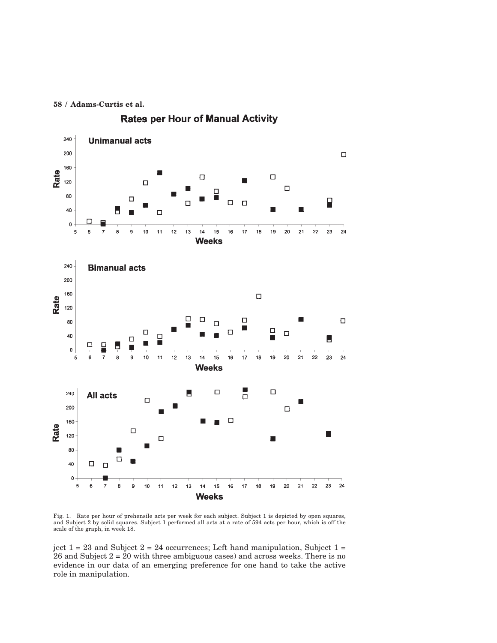**58 / Adams-Curtis et al.**



**Rates per Hour of Manual Activity** 

Fig. 1. Rate per hour of prehensile acts per week for each subject. Subject 1 is depicted by open squares, and Subject 2 by solid squares. Subject 1 performed all acts at a rate of 594 acts per hour, which is off the scale of the graph, in week 18.

ject  $1 = 23$  and Subject  $2 = 24$  occurrences; Left hand manipulation, Subject  $1 =$ 26 and Subject 2 = 20 with three ambiguous cases) and across weeks. There is no evidence in our data of an emerging preference for one hand to take the active role in manipulation.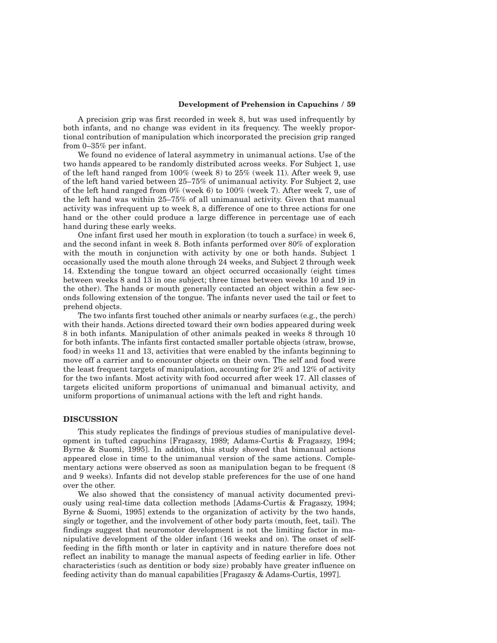## **Development of Prehension in Capuchins / 59**

A precision grip was first recorded in week 8, but was used infrequently by both infants, and no change was evident in its frequency. The weekly proportional contribution of manipulation which incorporated the precision grip ranged from 0–35% per infant.

We found no evidence of lateral asymmetry in unimanual actions. Use of the two hands appeared to be randomly distributed across weeks. For Subject 1, use of the left hand ranged from 100% (week 8) to 25% (week 11). After week 9, use of the left hand varied between 25–75% of unimanual activity. For Subject 2, use of the left hand ranged from 0% (week 6) to 100% (week 7). After week 7, use of the left hand was within 25–75% of all unimanual activity. Given that manual activity was infrequent up to week 8, a difference of one to three actions for one hand or the other could produce a large difference in percentage use of each hand during these early weeks.

One infant first used her mouth in exploration (to touch a surface) in week 6, and the second infant in week 8. Both infants performed over 80% of exploration with the mouth in conjunction with activity by one or both hands. Subject 1 occasionally used the mouth alone through 24 weeks, and Subject 2 through week 14. Extending the tongue toward an object occurred occasionally (eight times between weeks 8 and 13 in one subject; three times between weeks 10 and 19 in the other). The hands or mouth generally contacted an object within a few seconds following extension of the tongue. The infants never used the tail or feet to prehend objects.

The two infants first touched other animals or nearby surfaces (e.g., the perch) with their hands. Actions directed toward their own bodies appeared during week 8 in both infants. Manipulation of other animals peaked in weeks 8 through 10 for both infants. The infants first contacted smaller portable objects (straw, browse, food) in weeks 11 and 13, activities that were enabled by the infants beginning to move off a carrier and to encounter objects on their own. The self and food were the least frequent targets of manipulation, accounting for 2% and 12% of activity for the two infants. Most activity with food occurred after week 17. All classes of targets elicited uniform proportions of unimanual and bimanual activity, and uniform proportions of unimanual actions with the left and right hands.

## **DISCUSSION**

This study replicates the findings of previous studies of manipulative development in tufted capuchins [Fragaszy, 1989; Adams-Curtis & Fragaszy, 1994; Byrne & Suomi, 1995]. In addition, this study showed that bimanual actions appeared close in time to the unimanual version of the same actions. Complementary actions were observed as soon as manipulation began to be frequent (8 and 9 weeks). Infants did not develop stable preferences for the use of one hand over the other.

We also showed that the consistency of manual activity documented previously using real-time data collection methods [Adams-Curtis & Fragaszy, 1994; Byrne & Suomi, 1995] extends to the organization of activity by the two hands, singly or together, and the involvement of other body parts (mouth, feet, tail). The findings suggest that neuromotor development is not the limiting factor in manipulative development of the older infant (16 weeks and on). The onset of selffeeding in the fifth month or later in captivity and in nature therefore does not reflect an inability to manage the manual aspects of feeding earlier in life. Other characteristics (such as dentition or body size) probably have greater influence on feeding activity than do manual capabilities [Fragaszy & Adams-Curtis, 1997].